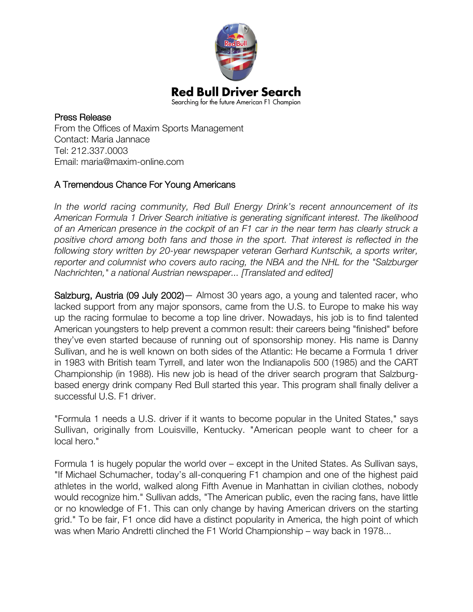

Press Release From the Offices of Maxim Sports Management Contact: Maria Jannace Tel: 212.337.0003 Email: maria@maxim-online.com

## A Tremendous Chance For Young Americans

*In the world racing community, Red Bull Energy Drink's recent announcement of its American Formula 1 Driver Search initiative is generating significant interest. The likelihood of an American presence in the cockpit of an F1 car in the near term has clearly struck a positive chord among both fans and those in the sport. That interest is reflected in the following story written by 20-year newspaper veteran Gerhard Kuntschik, a sports writer, reporter and columnist who covers auto racing, the NBA and the NHL for the "Salzburger Nachrichten," a national Austrian newspaper... [Translated and edited]*

Salzburg, Austria (09 July 2002)— Almost 30 years ago, a young and talented racer, who lacked support from any major sponsors, came from the U.S. to Europe to make his way up the racing formulae to become a top line driver. Nowadays, his job is to find talented American youngsters to help prevent a common result: their careers being "finished" before they've even started because of running out of sponsorship money. His name is Danny Sullivan, and he is well known on both sides of the Atlantic: He became a Formula 1 driver in 1983 with British team Tyrrell, and later won the Indianapolis 500 (1985) and the CART Championship (in 1988). His new job is head of the driver search program that Salzburgbased energy drink company Red Bull started this year. This program shall finally deliver a successful U.S. F1 driver.

"Formula 1 needs a U.S. driver if it wants to become popular in the United States," says Sullivan, originally from Louisville, Kentucky. "American people want to cheer for a local hero."

Formula 1 is hugely popular the world over – except in the United States. As Sullivan says, "If Michael Schumacher, today's all-conquering F1 champion and one of the highest paid athletes in the world, walked along Fifth Avenue in Manhattan in civilian clothes, nobody would recognize him." Sullivan adds, "The American public, even the racing fans, have little or no knowledge of F1. This can only change by having American drivers on the starting grid." To be fair, F1 once did have a distinct popularity in America, the high point of which was when Mario Andretti clinched the F1 World Championship – way back in 1978...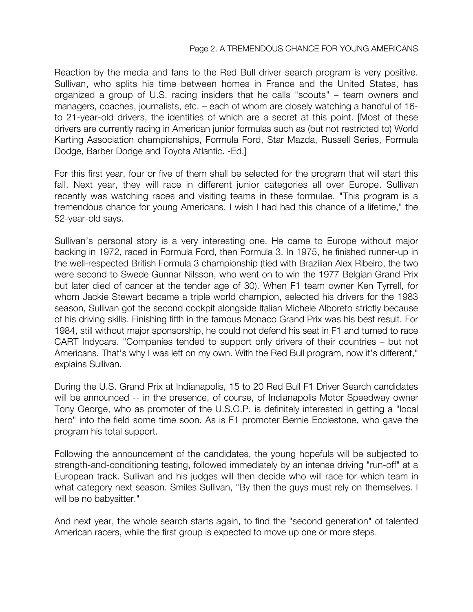## Page 2. A TREMENDOUS CHANCE FOR YOUNG AMERICANS

Reaction by the media and fans to the Red Bull driver search program is very positive. Sullivan, who splits his time between homes in France and the United States, has organized a group of U.S. racing insiders that he calls "scouts" – team owners and managers, coaches, journalists, etc. – each of whom are closely watching a handful of 16 to 21-year-old drivers, the identities of which are a secret at this point. [Most of these drivers are currently racing in American junior formulas such as (but not restricted to) World Karting Association championships, Formula Ford, Star Mazda, Russell Series, Formula Dodge, Barber Dodge and Toyota Atlantic. -Ed.]

For this first year, four or five of them shall be selected for the program that will start this fall. Next year, they will race in different junior categories all over Europe. Sullivan recently was watching races and visiting teams in these formulae. "This program is a tremendous chance for young Americans. I wish I had had this chance of a lifetime," the 52-year-old says.

Sullivan's personal story is a very interesting one. He came to Europe without major backing in 1972, raced in Formula Ford, then Formula 3. In 1975, he finished runner-up in the well-respected British Formula 3 championship (tied with Brazilian Alex Ribeiro, the two were second to Swede Gunnar Nilsson, who went on to win the 1977 Belgian Grand Prix but later died of cancer at the tender age of 30). When F1 team owner Ken Tyrrell, for whom Jackie Stewart became a triple world champion, selected his drivers for the 1983 season, Sullivan got the second cockpit alongside Italian Michele Alboreto strictly because of his driving skills. Finishing fifth in the famous Monaco Grand Prix was his best result. For 1984, still without major sponsorship, he could not defend his seat in F1 and turned to race CART Indycars. "Companies tended to support only drivers of their countries – but not Americans. That's why I was left on my own. With the Red Bull program, now it's different," explains Sullivan.

During the U.S. Grand Prix at Indianapolis, 15 to 20 Red Bull F1 Driver Search candidates will be announced -- in the presence, of course, of Indianapolis Motor Speedway owner Tony George, who as promoter of the U.S.G.P. is definitely interested in getting a "local hero" into the field some time soon. As is F1 promoter Bernie Ecclestone, who gave the program his total support.

Following the announcement of the candidates, the young hopefuls will be subjected to strength-and-conditioning testing, followed immediately by an intense driving "run-off" at a European track. Sullivan and his judges will then decide who will race for which team in what category next season. Smiles Sullivan, "By then the guys must rely on themselves. I will be no babysitter."

And next year, the whole search starts again, to find the "second generation" of talented American racers, while the first group is expected to move up one or more steps.